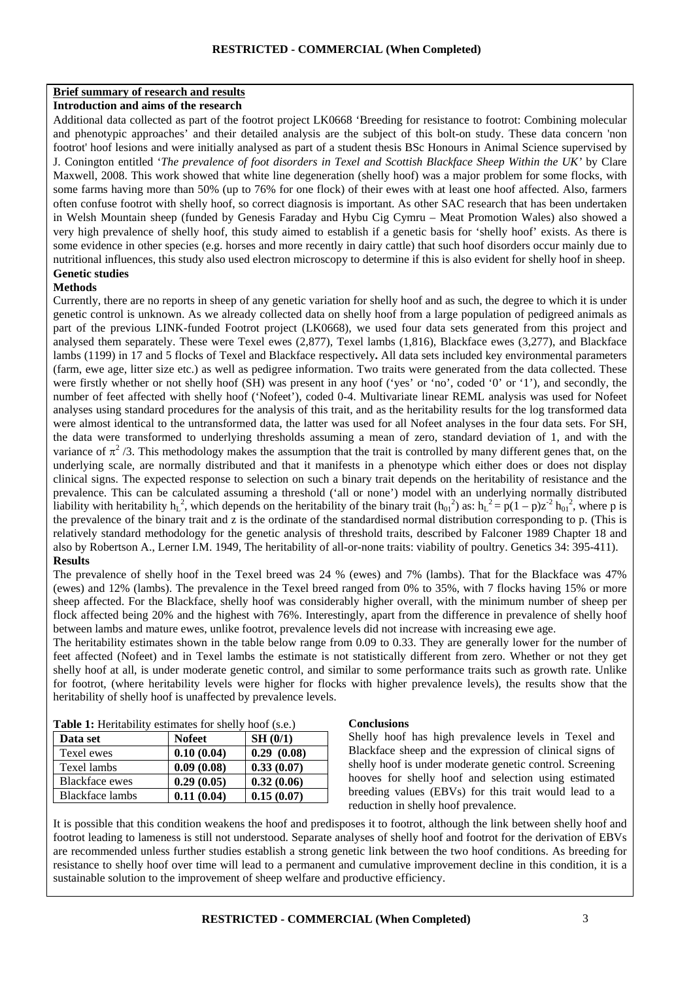# **Brief summary of research and results**

# **Introduction and aims of the research**

Additional data collected as part of the footrot project LK0668 'Breeding for resistance to footrot: Combining molecular and phenotypic approaches' and their detailed analysis are the subject of this bolt-on study. These data concern 'non footrot' hoof lesions and were initially analysed as part of a student thesis BSc Honours in Animal Science supervised by J. Conington entitled '*The prevalence of foot disorders in Texel and Scottish Blackface Sheep Within the UK'* by Clare Maxwell, 2008. This work showed that white line degeneration (shelly hoof) was a major problem for some flocks, with some farms having more than 50% (up to 76% for one flock) of their ewes with at least one hoof affected. Also, farmers often confuse footrot with shelly hoof, so correct diagnosis is important. As other SAC research that has been undertaken in Welsh Mountain sheep (funded by Genesis Faraday and Hybu Cig Cymru – Meat Promotion Wales) also showed a very high prevalence of shelly hoof, this study aimed to establish if a genetic basis for 'shelly hoof' exists. As there is some evidence in other species (e.g. horses and more recently in dairy cattle) that such hoof disorders occur mainly due to nutritional influences, this study also used electron microscopy to determine if this is also evident for shelly hoof in sheep. **Genetic studies** 

#### **Methods**

Currently, there are no reports in sheep of any genetic variation for shelly hoof and as such, the degree to which it is under genetic control is unknown. As we already collected data on shelly hoof from a large population of pedigreed animals as part of the previous LINK-funded Footrot project (LK0668), we used four data sets generated from this project and analysed them separately. These were Texel ewes (2,877), Texel lambs (1,816), Blackface ewes (3,277), and Blackface lambs (1199) in 17 and 5 flocks of Texel and Blackface respectively**.** All data sets included key environmental parameters (farm, ewe age, litter size etc.) as well as pedigree information. Two traits were generated from the data collected. These were firstly whether or not shelly hoof (SH) was present in any hoof ('yes' or 'no', coded '0' or '1'), and secondly, the number of feet affected with shelly hoof ('Nofeet'), coded 0-4. Multivariate linear REML analysis was used for Nofeet analyses using standard procedures for the analysis of this trait, and as the heritability results for the log transformed data were almost identical to the untransformed data, the latter was used for all Nofeet analyses in the four data sets. For SH, the data were transformed to underlying thresholds assuming a mean of zero, standard deviation of 1, and with the variance of  $\pi^2/3$ . This methodology makes the assumption that the trait is controlled by many different genes that, on the underlying scale, are normally distributed and that it manifests in a phenotype which either does or does not display clinical signs. The expected response to selection on such a binary trait depends on the heritability of resistance and the prevalence. This can be calculated assuming a threshold ('all or none') model with an underlying normally distributed liability with heritability  $h_L^2$ , which depends on the heritability of the binary trait  $(h_{01}^2)$  as:  $h_L^2 = p(1-p)z^2 h_{01}^2$ , where p is the prevalence of the binary trait and z is the ordinate of the standardised normal distribution corresponding to p. (This is relatively standard methodology for the genetic analysis of threshold traits, described by Falconer 1989 Chapter 18 and also by Robertson A., Lerner I.M. 1949, The heritability of all-or-none traits: viability of poultry. Genetics 34: 395-411). **Results** 

The prevalence of shelly hoof in the Texel breed was 24 % (ewes) and 7% (lambs). That for the Blackface was 47% (ewes) and 12% (lambs). The prevalence in the Texel breed ranged from 0% to 35%, with 7 flocks having 15% or more sheep affected. For the Blackface, shelly hoof was considerably higher overall, with the minimum number of sheep per flock affected being 20% and the highest with 76%. Interestingly, apart from the difference in prevalence of shelly hoof between lambs and mature ewes, unlike footrot, prevalence levels did not increase with increasing ewe age.

The heritability estimates shown in the table below range from 0.09 to 0.33. They are generally lower for the number of feet affected (Nofeet) and in Texel lambs the estimate is not statistically different from zero. Whether or not they get shelly hoof at all, is under moderate genetic control, and similar to some performance traits such as growth rate. Unlike for footrot, (where heritability levels were higher for flocks with higher prevalence levels), the results show that the heritability of shelly hoof is unaffected by prevalence levels.

| <b>Table 1:</b> Heritability estimates for shelly hoof (s.e.) |               |            |
|---------------------------------------------------------------|---------------|------------|
| Data set                                                      | <b>Nofeet</b> | SH(0/1)    |
| Texel ewes                                                    | 0.10(0.04)    | 0.29(0.08) |
| Texel lambs                                                   | 0.09(0.08)    | 0.33(0.07) |
| <b>Blackface</b> ewes                                         | 0.29(0.05)    | 0.32(0.06) |
| Blackface lambs                                               | 0.11(0.04)    | 0.15(0.07) |

#### **Table 1:** Heritability estimates for shelly hoof (s.e.)

#### **Conclusions**

Shelly hoof has high prevalence levels in Texel and Blackface sheep and the expression of clinical signs of shelly hoof is under moderate genetic control. Screening hooves for shelly hoof and selection using estimated breeding values (EBVs) for this trait would lead to a reduction in shelly hoof prevalence.

It is possible that this condition weakens the hoof and predisposes it to footrot, although the link between shelly hoof and footrot leading to lameness is still not understood. Separate analyses of shelly hoof and footrot for the derivation of EBVs are recommended unless further studies establish a strong genetic link between the two hoof conditions. As breeding for resistance to shelly hoof over time will lead to a permanent and cumulative improvement decline in this condition, it is a sustainable solution to the improvement of sheep welfare and productive efficiency.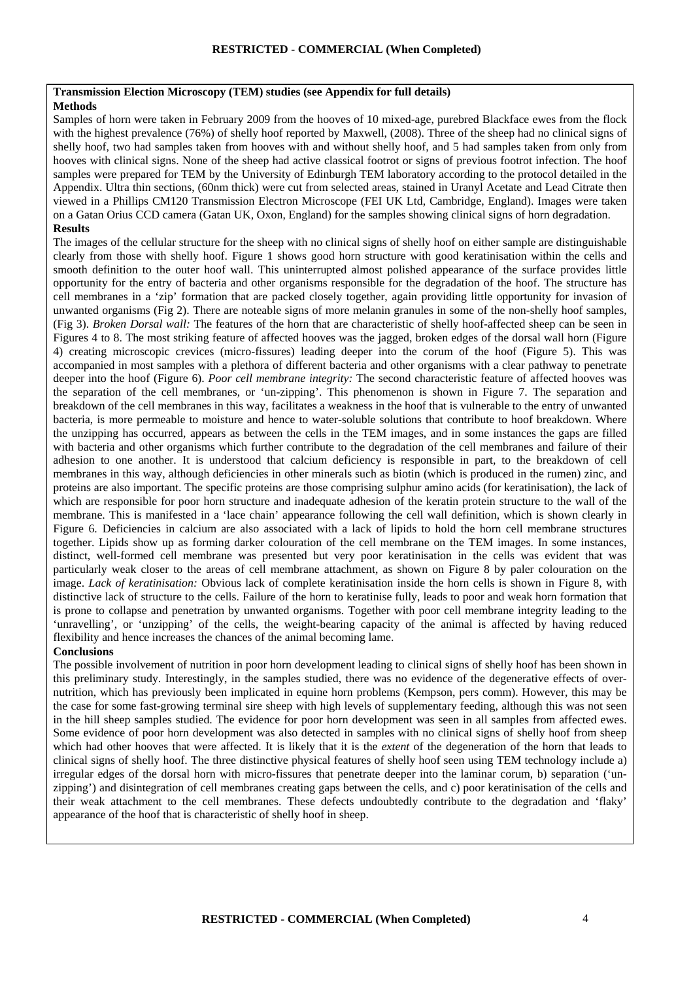## **Transmission Election Microscopy (TEM) studies (see Appendix for full details)**

# **Methods**

Samples of horn were taken in February 2009 from the hooves of 10 mixed-age, purebred Blackface ewes from the flock with the highest prevalence (76%) of shelly hoof reported by Maxwell, (2008). Three of the sheep had no clinical signs of shelly hoof, two had samples taken from hooves with and without shelly hoof, and 5 had samples taken from only from hooves with clinical signs. None of the sheep had active classical footrot or signs of previous footrot infection. The hoof samples were prepared for TEM by the University of Edinburgh TEM laboratory according to the protocol detailed in the Appendix. Ultra thin sections, (60nm thick) were cut from selected areas, stained in Uranyl Acetate and Lead Citrate then viewed in a Phillips CM120 Transmission Electron Microscope (FEI UK Ltd, Cambridge, England). Images were taken on a Gatan Orius CCD camera (Gatan UK, Oxon, England) for the samples showing clinical signs of horn degradation. **Results** 

The images of the cellular structure for the sheep with no clinical signs of shelly hoof on either sample are distinguishable clearly from those with shelly hoof. Figure 1 shows good horn structure with good keratinisation within the cells and smooth definition to the outer hoof wall. This uninterrupted almost polished appearance of the surface provides little opportunity for the entry of bacteria and other organisms responsible for the degradation of the hoof. The structure has cell membranes in a 'zip' formation that are packed closely together, again providing little opportunity for invasion of unwanted organisms (Fig 2). There are noteable signs of more melanin granules in some of the non-shelly hoof samples, (Fig 3). *Broken Dorsal wall:* The features of the horn that are characteristic of shelly hoof-affected sheep can be seen in Figures 4 to 8. The most striking feature of affected hooves was the jagged, broken edges of the dorsal wall horn (Figure 4) creating microscopic crevices (micro-fissures) leading deeper into the corum of the hoof (Figure 5). This was accompanied in most samples with a plethora of different bacteria and other organisms with a clear pathway to penetrate deeper into the hoof (Figure 6). *Poor cell membrane integrity:* The second characteristic feature of affected hooves was the separation of the cell membranes, or 'un-zipping'. This phenomenon is shown in Figure 7. The separation and breakdown of the cell membranes in this way, facilitates a weakness in the hoof that is vulnerable to the entry of unwanted bacteria, is more permeable to moisture and hence to water-soluble solutions that contribute to hoof breakdown. Where the unzipping has occurred, appears as between the cells in the TEM images, and in some instances the gaps are filled with bacteria and other organisms which further contribute to the degradation of the cell membranes and failure of their adhesion to one another. It is understood that calcium deficiency is responsible in part, to the breakdown of cell membranes in this way, although deficiencies in other minerals such as biotin (which is produced in the rumen) zinc, and proteins are also important. The specific proteins are those comprising sulphur amino acids (for keratinisation), the lack of which are responsible for poor horn structure and inadequate adhesion of the keratin protein structure to the wall of the membrane. This is manifested in a 'lace chain' appearance following the cell wall definition, which is shown clearly in Figure 6. Deficiencies in calcium are also associated with a lack of lipids to hold the horn cell membrane structures together. Lipids show up as forming darker colouration of the cell membrane on the TEM images. In some instances, distinct, well-formed cell membrane was presented but very poor keratinisation in the cells was evident that was particularly weak closer to the areas of cell membrane attachment, as shown on Figure 8 by paler colouration on the image. *Lack of keratinisation:* Obvious lack of complete keratinisation inside the horn cells is shown in Figure 8, with distinctive lack of structure to the cells. Failure of the horn to keratinise fully, leads to poor and weak horn formation that is prone to collapse and penetration by unwanted organisms. Together with poor cell membrane integrity leading to the 'unravelling', or 'unzipping' of the cells, the weight-bearing capacity of the animal is affected by having reduced flexibility and hence increases the chances of the animal becoming lame.

## **Conclusions**

The possible involvement of nutrition in poor horn development leading to clinical signs of shelly hoof has been shown in this preliminary study. Interestingly, in the samples studied, there was no evidence of the degenerative effects of overnutrition, which has previously been implicated in equine horn problems (Kempson, pers comm). However, this may be the case for some fast-growing terminal sire sheep with high levels of supplementary feeding, although this was not seen in the hill sheep samples studied. The evidence for poor horn development was seen in all samples from affected ewes. Some evidence of poor horn development was also detected in samples with no clinical signs of shelly hoof from sheep which had other hooves that were affected. It is likely that it is the *extent* of the degeneration of the horn that leads to clinical signs of shelly hoof. The three distinctive physical features of shelly hoof seen using TEM technology include a) irregular edges of the dorsal horn with micro-fissures that penetrate deeper into the laminar corum, b) separation ('unzipping') and disintegration of cell membranes creating gaps between the cells, and c) poor keratinisation of the cells and their weak attachment to the cell membranes. These defects undoubtedly contribute to the degradation and 'flaky' appearance of the hoof that is characteristic of shelly hoof in sheep.